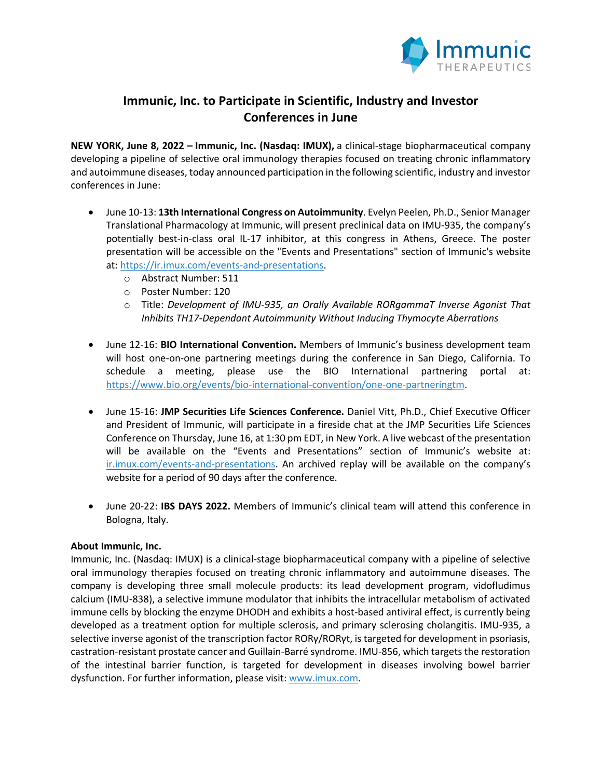

## **Immunic, Inc. to Participate in Scientific, Industry and Investor Conferences in June**

**NEW YORK, June 8, 2022 – Immunic, Inc. (Nasdaq: IMUX),** a clinical-stage biopharmaceutical company developing a pipeline of selective oral immunology therapies focused on treating chronic inflammatory and autoimmune diseases, today announced participation in the following scientific, industry and investor conferences in June:

- June 10-13: **13th International Congress on Autoimmunity**. Evelyn Peelen, Ph.D., Senior Manager Translational Pharmacology at Immunic, will present preclinical data on IMU-935, the company's potentially best-in-class oral IL-17 inhibitor, at this congress in Athens, Greece. The poster presentation will be accessible on the "Events and Presentations" section of Immunic's website at: https://ir.imux.com/events-and-presentations.
	- o Abstract Number: 511
	- o Poster Number: 120
	- o Title: *Development of IMU-935, an Orally Available RORgammaT Inverse Agonist That Inhibits TH17-Dependant Autoimmunity Without Inducing Thymocyte Aberrations*
- June 12-16: **BIO International Convention.** Members of Immunic's business development team will host one-on-one partnering meetings during the conference in San Diego, California. To schedule a meeting, please use the BIO International partnering portal at: https://www.bio.org/events/bio-international-convention/one-one-partneringtm.
- June 15-16: **JMP Securities Life Sciences Conference.** Daniel Vitt, Ph.D., Chief Executive Officer and President of Immunic, will participate in a fireside chat at the JMP Securities Life Sciences Conference on Thursday, June 16, at 1:30 pm EDT, in New York. A live webcast of the presentation will be available on the "Events and Presentations" section of Immunic's website at: ir.imux.com/events-and-presentations. An archived replay will be available on the company's website for a period of 90 days after the conference.
- June 20-22: **IBS DAYS 2022.** Members of Immunic's clinical team will attend this conference in Bologna, Italy.

## **About Immunic, Inc.**

Immunic, Inc. (Nasdaq: IMUX) is a clinical-stage biopharmaceutical company with a pipeline of selective oral immunology therapies focused on treating chronic inflammatory and autoimmune diseases. The company is developing three small molecule products: its lead development program, vidofludimus calcium (IMU-838), a selective immune modulator that inhibits the intracellular metabolism of activated immune cells by blocking the enzyme DHODH and exhibits a host-based antiviral effect, is currently being developed as a treatment option for multiple sclerosis, and primary sclerosing cholangitis. IMU-935, a selective inverse agonist of the transcription factor RORγ/RORγt, is targeted for development in psoriasis, castration-resistant prostate cancer and Guillain-Barré syndrome. IMU-856, which targets the restoration of the intestinal barrier function, is targeted for development in diseases involving bowel barrier dysfunction. For further information, please visit: www.imux.com.